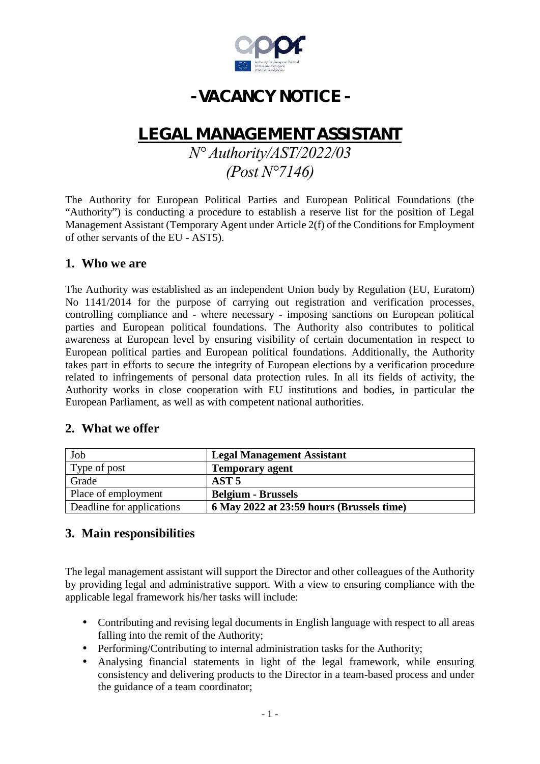

# **- VACANCY NOTICE -**

## **LEGALMANAGEMENT ASSISTANT**

## *N° Authority/AST/2022/03 (Post N°7146)*

The Authority for European Political Parties and European Political Foundations (the "Authority") is conducting a procedure to establish a reserve list for the position of Legal Management Assistant (Temporary Agent under Article 2(f) of the Conditions for Employment of other servants of the EU - AST5).

#### **1. Who we are**

The Authority was established as an independent Union body by Regulation (EU, Euratom) No 1141/2014 for the purpose of carrying out registration and verification processes, controlling compliance and - where necessary - imposing sanctions on European political parties and European political foundations. The Authority also contributes to political awareness at European level by ensuring visibility of certain documentation in respect to European political parties and European political foundations. Additionally, the Authority takes part in efforts to secure the integrity of European elections by a verification procedure related to infringements of personal data protection rules. In all its fields of activity, the Authority works in close cooperation with EU institutions and bodies, in particular the European Parliament, as well as with competent national authorities.

#### **2. What we offer**

| Job                       | <b>Legal Management Assistant</b>         |
|---------------------------|-------------------------------------------|
| Type of post              | <b>Temporary agent</b>                    |
| Grade                     | AST <sub>5</sub>                          |
| Place of employment       | <b>Belgium - Brussels</b>                 |
| Deadline for applications | 6 May 2022 at 23:59 hours (Brussels time) |

## **3. Main responsibilities**

The legal management assistant will support the Director and other colleagues of the Authority by providing legal and administrative support. With a view to ensuring compliance with the applicable legal framework his/her tasks will include:

- Contributing and revising legal documents in English language with respect to all areas falling into the remit of the Authority;
- Performing/Contributing to internal administration tasks for the Authority;
- Analysing financial statements in light of the legal framework, while ensuring consistency and delivering products to the Director in a team-based process and under the guidance of a team coordinator;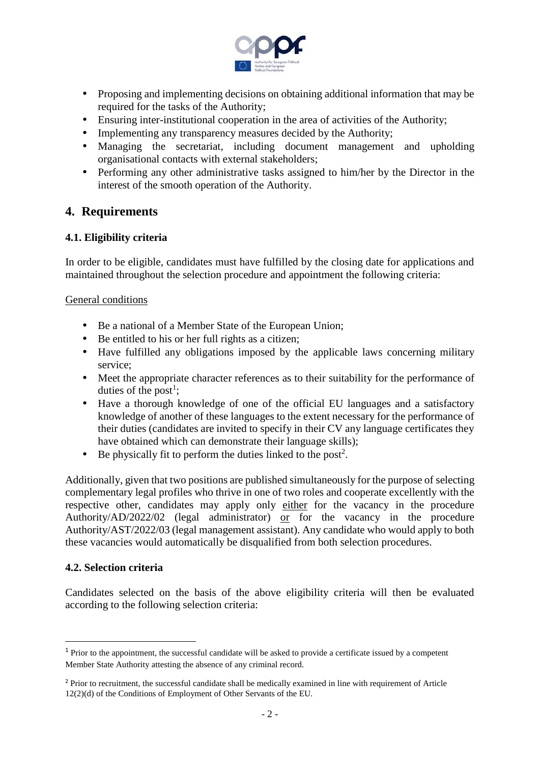

- Proposing and implementing decisions on obtaining additional information that may be required for the tasks of the Authority;
- Ensuring inter-institutional cooperation in the area of activities of the Authority;
- Implementing any transparency measures decided by the Authority;
- Managing the secretariat, including document management and upholding organisational contacts with external stakeholders;
- Performing any other administrative tasks assigned to him/her by the Director in the interest of the smooth operation of the Authority.

## **4. Requirements**

#### **4.1. Eligibility criteria**

In order to be eligible, candidates must have fulfilled by the closing date for applications and maintained throughout the selection procedure and appointment the following criteria:

#### General conditions

- Be a national of a Member State of the European Union;
- $\int$  Be entitled to his or her full rights as a citizen;
- Have fulfilled any obligations imposed by the applicable laws concerning military service;
- Meet the appropriate character references as to their suitability for the performance of duties of the post<sup>1</sup>;
- Have a thorough knowledge of one of the official EU languages and a satisfactory knowledge of another of these languages to the extent necessary for the performance of their duties (candidates are invited to specify in their CV any language certificates they have obtained which can demonstrate their language skills);
- Be physically fit to perform the duties linked to the post<sup>2</sup>.

Additionally, given that two positions are published simultaneously for the purpose of selecting complementary legal profiles who thrive in one of two roles and cooperate excellently with the respective other, candidates may apply only either for the vacancy in the procedure Authority/AD/2022/02 (legal administrator) or for the vacancy in the procedure Authority/AST/2022/03 (legal management assistant). Any candidate who would apply to both these vacancies would automatically be disqualified from both selection procedures.

#### **4.2. Selection criteria**

Candidates selected on the basis of the above eligibility criteria will then be evaluated according to the following selection criteria:

<sup>&</sup>lt;sup>1</sup> Prior to the appointment, the successful candidate will be asked to provide a certificate issued by a competent Member State Authority attesting the absence of any criminal record.

<sup>&</sup>lt;sup>2</sup> Prior to recruitment, the successful candidate shall be medically examined in line with requirement of Article 12(2)(d) of the Conditions of Employment of Other Servants of the EU.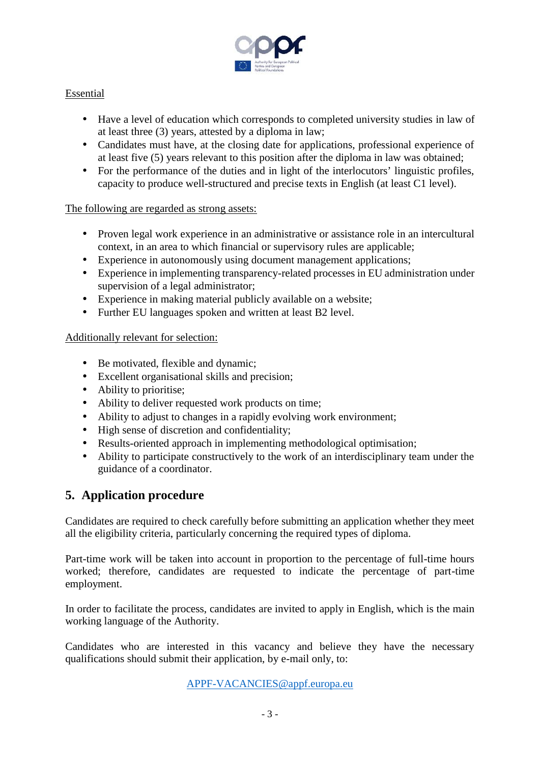

#### Essential

- Have a level of education which corresponds to completed university studies in law of at least three (3) years, attested by a diploma in law;
- Candidates must have, at the closing date for applications, professional experience of at least five (5) years relevant to this position after the diploma in law was obtained;
- For the performance of the duties and in light of the interlocutors' linguistic profiles, capacity to produce well-structured and precise texts in English (at least C1 level).

#### The following are regarded as strong assets:

- Proven legal work experience in an administrative or assistance role in an intercultural context, in an area to which financial or supervisory rules are applicable;
- Experience in autonomously using document management applications;
- Experience in implementing transparency-related processes in EU administration under supervision of a legal administrator;
- Experience in making material publicly available on a website;
- Further EU languages spoken and written at least B2 level.

#### Additionally relevant for selection:

- Be motivated, flexible and dynamic;
- Excellent organisational skills and precision;
- Ability to prioritise;
- Ability to deliver requested work products on time;
- Ability to adjust to changes in a rapidly evolving work environment;
- High sense of discretion and confidentiality;
- Results-oriented approach in implementing methodological optimisation;
- Ability to participate constructively to the work of an interdisciplinary team under the guidance of a coordinator.

## **5. Application procedure**

Candidates are required to check carefully before submitting an application whether they meet all the eligibility criteria, particularly concerning the required types of diploma.

Part-time work will be taken into account in proportion to the percentage of full-time hours worked; therefore, candidates are requested to indicate the percentage of part-time employment.

In order to facilitate the process, candidates are invited to apply in English, which is the main working language of the Authority.

Candidates who are interested in this vacancy and believe they have the necessary qualifications should submit their application, by e-mail only, to:

APPF-VACANCIES@appf.europa.eu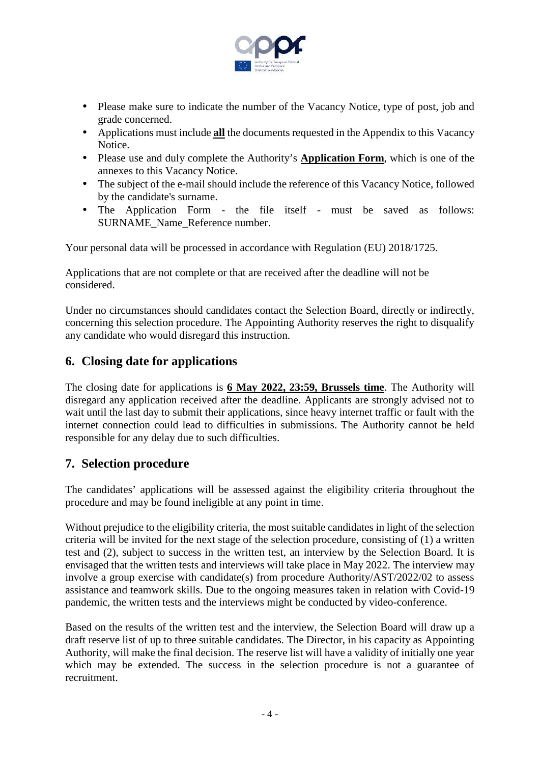

- Please make sure to indicate the number of the Vacancy Notice, type of post, job and grade concerned.
- Applications must include **all** the documents requested in the Appendix to this Vacancy Notice.
- Please use and duly complete the Authority's **Application Form**, which is one of the annexes to this Vacancy Notice.
- The subject of the e-mail should include the reference of this Vacancy Notice, followed by the candidate's surname.
- The Application Form the file itself must be saved as follows: SURNAME\_Name\_Reference number.

Your personal data will be processed in accordance with Regulation (EU) 2018/1725.

Applications that are not complete or that are received after the deadline will not be considered.

Under no circumstances should candidates contact the Selection Board, directly or indirectly, concerning this selection procedure. The Appointing Authority reserves the right to disqualify any candidate who would disregard this instruction.

#### **6. Closing date for applications**

The closing date for applications is **6 May 2022, 23:59, Brussels time**. The Authority will disregard any application received after the deadline. Applicants are strongly advised not to wait until the last day to submit their applications, since heavy internet traffic or fault with the internet connection could lead to difficulties in submissions. The Authority cannot be held responsible for any delay due to such difficulties.

#### **7. Selection procedure**

The candidates' applications will be assessed against the eligibility criteria throughout the procedure and may be found ineligible at any point in time.

Without prejudice to the eligibility criteria, the most suitable candidates in light of the selection criteria will be invited for the next stage of the selection procedure, consisting of (1) a written test and (2), subject to success in the written test, an interview by the Selection Board. It is envisaged that the written tests and interviews will take place in May 2022. The interview may involve a group exercise with candidate(s) from procedure Authority/AST/2022/02 to assess assistance and teamwork skills. Due to the ongoing measures taken in relation with Covid-19 pandemic, the written tests and the interviews might be conducted by video-conference.

Based on the results of the written test and the interview, the Selection Board will draw up a draft reserve list of up to three suitable candidates. The Director, in his capacity as Appointing Authority, will make the final decision. The reserve list will have a validity of initially one year which may be extended. The success in the selection procedure is not a guarantee of recruitment.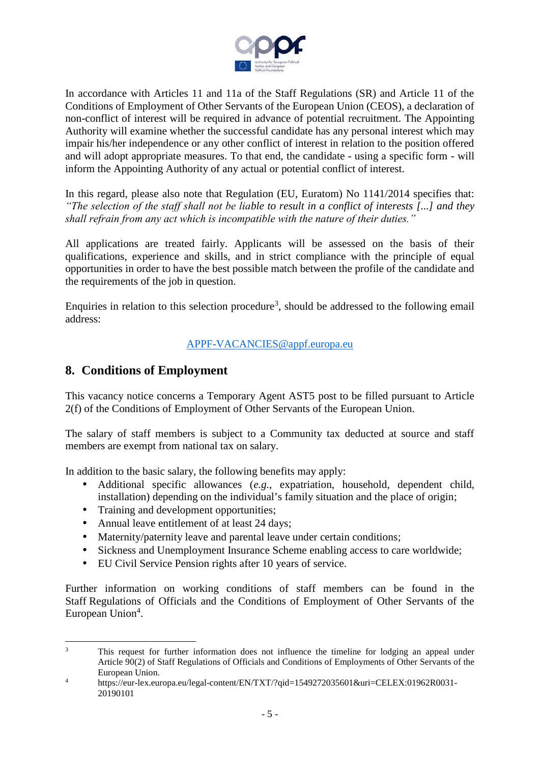

In accordance with Articles 11 and 11a of the Staff Regulations (SR) and Article 11 of the Conditions of Employment of Other Servants of the European Union (CEOS), a declaration of non-conflict of interest will be required in advance of potential recruitment. The Appointing Authority will examine whether the successful candidate has any personal interest which may impair his/her independence or any other conflict of interest in relation to the position offered and will adopt appropriate measures. To that end, the candidate - using a specific form - will inform the Appointing Authority of any actual or potential conflict of interest.

In this regard, please also note that Regulation (EU, Euratom) No 1141/2014 specifies that: *"The selection of the staff shall not be liable to result in a conflict of interests [...] and they shall refrain from any act which is incompatible with the nature of their duties."*

All applications are treated fairly. Applicants will be assessed on the basis of their qualifications, experience and skills, and in strict compliance with the principle of equal opportunities in order to have the best possible match between the profile of the candidate and the requirements of the job in question.

Enquiries in relation to this selection procedure<sup>3</sup>, should be addressed to the following email address:

#### APPF-VACANCIES@appf.europa.eu

## **8. Conditions of Employment**

This vacancy notice concerns a Temporary Agent AST5 post to be filled pursuant to Article 2(f) of the Conditions of Employment of Other Servants of the European Union.

The salary of staff members is subject to a Community tax deducted at source and staff members are exempt from national tax on salary.

In addition to the basic salary, the following benefits may apply:

- Additional specific allowances (*e.g.*, expatriation, household, dependent child, installation) depending on the individual's family situation and the place of origin;
- Training and development opportunities;
- Annual leave entitlement of at least 24 days;
- Maternity/paternity leave and parental leave under certain conditions;
- Sickness and Unemployment Insurance Scheme enabling access to care worldwide;
- EU Civil Service Pension rights after 10 years of service.

Further information on working conditions of staff members can be found in the Staff Regulations of Officials and the Conditions of Employment of Other Servants of the European Union<sup>4</sup>.

<sup>&</sup>lt;sup>3</sup> This request for further information does not influence the timeline for lodging an appeal under Article 90(2) of Staff Regulations of Officials and Conditions of Employments of Other Servants of the European Union.

<sup>&</sup>lt;sup>4</sup> https://eur-lex.europa.eu/legal-content/EN/TXT/?qid=1549272035601&uri=CELEX:01962R0031-20190101